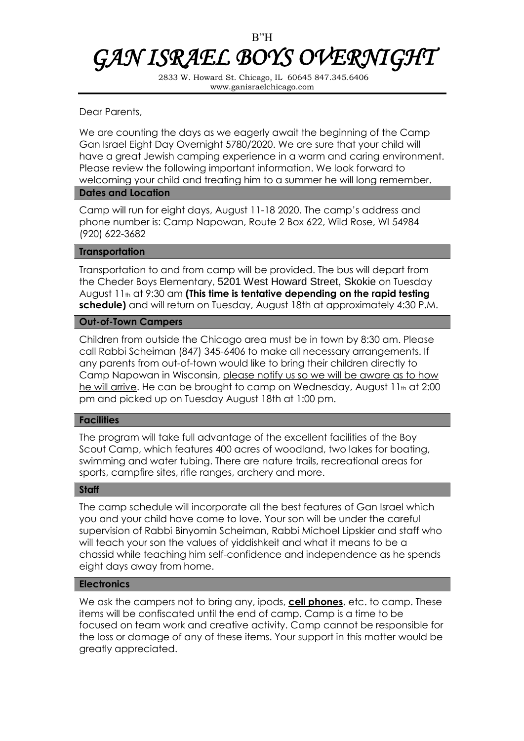# B"H *GAN ISRAEL BOYS OVERNIGHT*

2833 W. Howard St. Chicago, IL 60645 847.345.6406 www.ganisraelchicago.com

Dear Parents,

We are counting the days as we eagerly await the beginning of the Camp Gan Israel Eight Day Overnight 5780/2020. We are sure that your child will have a great Jewish camping experience in a warm and caring environment. Please review the following important information. We look forward to welcoming your child and treating him to a summer he will long remember.

## **Dates and Location**

Camp will run for eight days, August 11-18 2020. The camp's address and phone number is: Camp Napowan, Route 2 Box 622, Wild Rose, WI 54984 (920) 622-3682

# **Transportation**

Transportation to and from camp will be provided. The bus will depart from the Cheder Boys Elementary, 5201 West Howard Street, Skokie on Tuesday August 11th at 9:30 am **(This time is tentative depending on the rapid testing schedule)** and will return on Tuesday, August 18th at approximately 4:30 P.M.

# **Out-of-Town Campers**

Children from outside the Chicago area must be in town by 8:30 am. Please call Rabbi Scheiman (847) 345-6406 to make all necessary arrangements. If any parents from out-of-town would like to bring their children directly to Camp Napowan in Wisconsin, please notify us so we will be aware as to how he will arrive. He can be brought to camp on Wednesday, August 11th at 2:00 pm and picked up on Tuesday August 18th at 1:00 pm.

# **Facilities**

The program will take full advantage of the excellent facilities of the Boy Scout Camp, which features 400 acres of woodland, two lakes for boating, swimming and water tubing. There are nature trails, recreational areas for sports, campfire sites, rifle ranges, archery and more.

## **Staff**

The camp schedule will incorporate all the best features of Gan Israel which you and your child have come to love. Your son will be under the careful supervision of Rabbi Binyomin Scheiman, Rabbi Michoel Lipskier and staff who will teach your son the values of yiddishkeit and what it means to be a chassid while teaching him self-confidence and independence as he spends eight days away from home.

# **Electronics**

We ask the campers not to bring any, ipods, **cell phones**, etc. to camp. These items will be confiscated until the end of camp. Camp is a time to be focused on team work and creative activity. Camp cannot be responsible for the loss or damage of any of these items. Your support in this matter would be greatly appreciated.